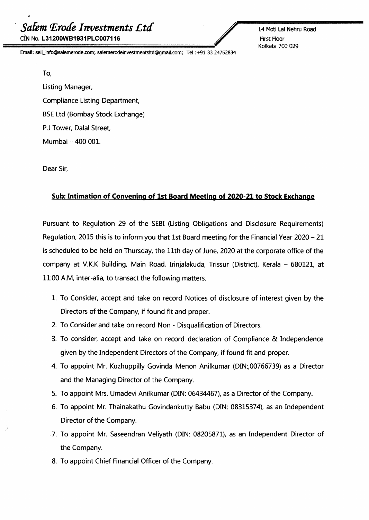<sup>1</sup> *Salem lErotfeInvestments £ta* CIN No. L31200WB1931PLC007116

Email: seil\_info@salemerode.com; salemerodeinvestmentsltd@gmail.com; Tel:+91 33 24752834

14 Moti Lal Nehru Road First Floor Kolkata 700 029

To, Listing Manager, Compliance Listing Department, BSE Ltd (Bombay Stock Exchange) P.J Tower, Dalal Street, Mumbai - 400 001.

Dear Sir,

## **Sub: Intimation of Convening of 1st Board Meeting of 2020-21 to Stock Exchange**

Pursuant to Regulation 29 of the SEBI(Listing Obligations and Disclosure Requirements) Regulation, 2015 this is to inform you that 1st Board meeting for the Financial Year  $2020 - 21$ is scheduled to be held on Thursday, the 11th day of June, 2020 at the corporate office of the company at V.K.K Building, Main Road, Irinjalakuda, Trissur (District), Kerala - 680121, at 11:00A.M, inter-alia, to transact the following matters.

- 1. To Consider, accept and take on record Notices of disclosure of interest given by the Directors of the Company, if found fit and proper.
- 2. To Consider and take on record Non Disqualification of Directors.
- 3. To consider, accept and take on record declaration of Compliance & Independence given by the Independent Directors of the Company, if found fit and proper.
- 4. To appoint Mr. Kuzhuppilly Govinda Menon Anilkumar (DIN:,00766739) as a Director and the Managing Director of the Company.
- 5. To appoint Mrs. Umadevi Anilkumar (DIN: 06434467), as a Director of the Company.
- 6. To appoint Mr. Thainakathu Govindankutty Babu (DIN: 08315374), as an Independent Director of the Company.
- .7. To appoint Mr. Saseendran Veliyath (DIN: 08205871), as an Independent Director of the Company.
- 8. To appoint Chief Financial Officer of the Company.